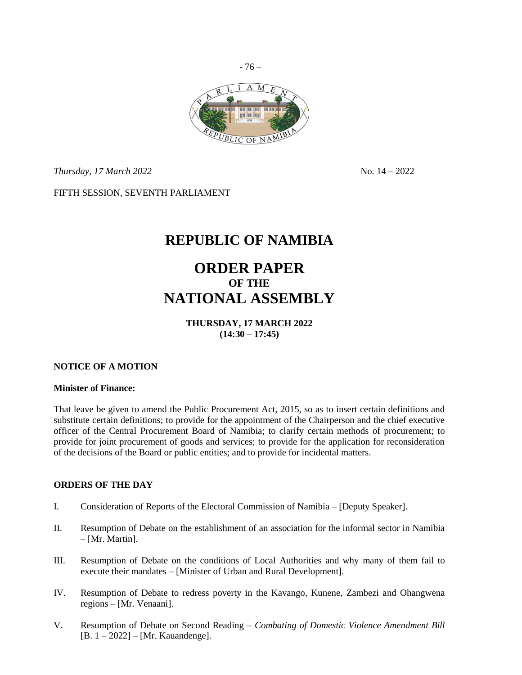

*Thursday, 17 March* 2022 **No. 14 – 2022** No. 14 – 2022

FIFTH SESSION, SEVENTH PARLIAMENT

## **REPUBLIC OF NAMIBIA**

# **ORDER PAPER OF THE NATIONAL ASSEMBLY**

**THURSDAY, 17 MARCH 2022 (14:30 – 17:45)**

## **NOTICE OF A MOTION**

#### **Minister of Finance:**

That leave be given to amend the Public Procurement Act, 2015, so as to insert certain definitions and substitute certain definitions; to provide for the appointment of the Chairperson and the chief executive officer of the Central Procurement Board of Namibia; to clarify certain methods of procurement; to provide for joint procurement of goods and services; to provide for the application for reconsideration of the decisions of the Board or public entities; and to provide for incidental matters.

## **ORDERS OF THE DAY**

- I. Consideration of Reports of the Electoral Commission of Namibia [Deputy Speaker].
- II. Resumption of Debate on the establishment of an association for the informal sector in Namibia – [Mr. Martin].
- III. Resumption of Debate on the conditions of Local Authorities and why many of them fail to execute their mandates – [Minister of Urban and Rural Development].
- IV. Resumption of Debate to redress poverty in the Kavango, Kunene, Zambezi and Ohangwena regions – [Mr. Venaani].
- V. Resumption of Debate on Second Reading *Combating of Domestic Violence Amendment Bill*  [B. 1 – 2022] – [Mr. Kauandenge].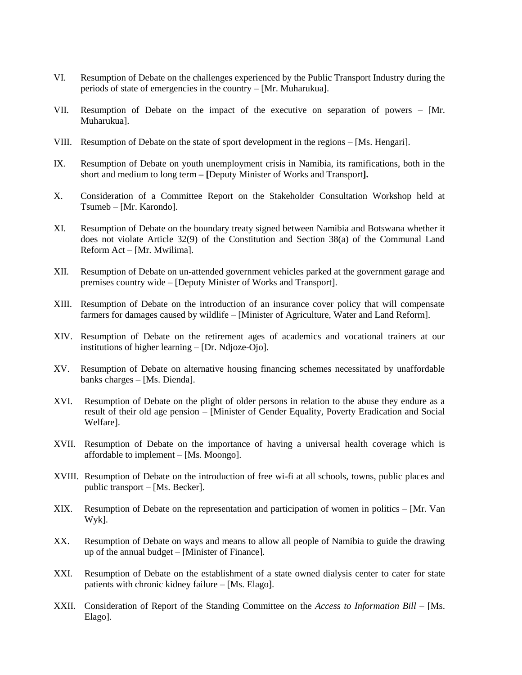- VI. Resumption of Debate on the challenges experienced by the Public Transport Industry during the periods of state of emergencies in the country – [Mr. Muharukua].
- VII. Resumption of Debate on the impact of the executive on separation of powers [Mr. Muharukua].
- VIII. Resumption of Debate on the state of sport development in the regions [Ms. Hengari].
- IX. Resumption of Debate on youth unemployment crisis in Namibia, its ramifications, both in the short and medium to long term **– [**Deputy Minister of Works and Transport**].**
- X. Consideration of a Committee Report on the Stakeholder Consultation Workshop held at Tsumeb – [Mr. Karondo].
- XI. Resumption of Debate on the boundary treaty signed between Namibia and Botswana whether it does not violate Article 32(9) of the Constitution and Section 38(a) of the Communal Land Reform Act – [Mr. Mwilima].
- XII. Resumption of Debate on un-attended government vehicles parked at the government garage and premises country wide – [Deputy Minister of Works and Transport].
- XIII. Resumption of Debate on the introduction of an insurance cover policy that will compensate farmers for damages caused by wildlife – [Minister of Agriculture, Water and Land Reform].
- XIV. Resumption of Debate on the retirement ages of academics and vocational trainers at our institutions of higher learning – [Dr. Ndjoze-Ojo].
- XV. Resumption of Debate on alternative housing financing schemes necessitated by unaffordable banks charges – [Ms. Dienda].
- XVI. Resumption of Debate on the plight of older persons in relation to the abuse they endure as a result of their old age pension – [Minister of Gender Equality, Poverty Eradication and Social Welfare].
- XVII. Resumption of Debate on the importance of having a universal health coverage which is affordable to implement – [Ms. Moongo].
- XVIII. Resumption of Debate on the introduction of free wi-fi at all schools, towns, public places and public transport – [Ms. Becker].
- XIX. Resumption of Debate on the representation and participation of women in politics [Mr. Van Wyk].
- XX. Resumption of Debate on ways and means to allow all people of Namibia to guide the drawing up of the annual budget – [Minister of Finance].
- XXI. Resumption of Debate on the establishment of a state owned dialysis center to cater for state patients with chronic kidney failure – [Ms. Elago].
- XXII. Consideration of Report of the Standing Committee on the *Access to Information Bill*  [Ms. Elago].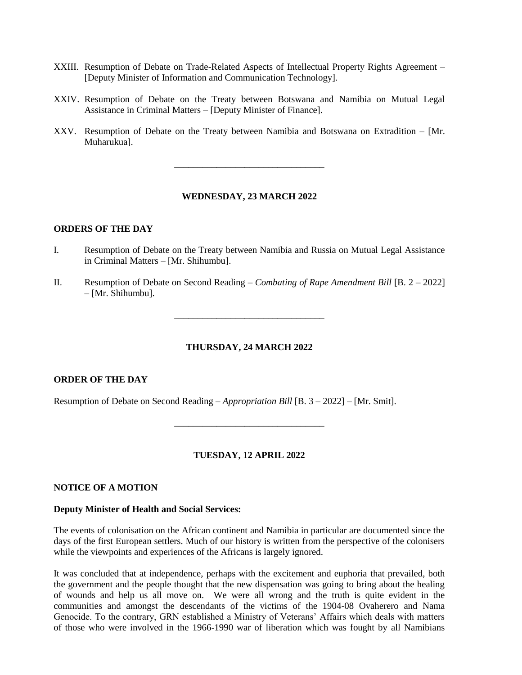- XXIII. Resumption of Debate on Trade-Related Aspects of Intellectual Property Rights Agreement [Deputy Minister of Information and Communication Technology].
- XXIV. Resumption of Debate on the Treaty between Botswana and Namibia on Mutual Legal Assistance in Criminal Matters – [Deputy Minister of Finance].
- XXV. Resumption of Debate on the Treaty between Namibia and Botswana on Extradition [Mr. Muharukua].

\_\_\_\_\_\_\_\_\_\_\_\_\_\_\_\_\_\_\_\_\_\_\_\_\_\_\_\_\_\_\_\_

## **WEDNESDAY, 23 MARCH 2022**

#### **ORDERS OF THE DAY**

- I. Resumption of Debate on the Treaty between Namibia and Russia on Mutual Legal Assistance in Criminal Matters – [Mr. Shihumbu].
- II. Resumption of Debate on Second Reading *Combating of Rape Amendment Bill* [B. 2 2022] – [Mr. Shihumbu].

\_\_\_\_\_\_\_\_\_\_\_\_\_\_\_\_\_\_\_\_\_\_\_\_\_\_\_\_\_\_\_\_

#### **THURSDAY, 24 MARCH 2022**

#### **ORDER OF THE DAY**

Resumption of Debate on Second Reading – *Appropriation Bill* [B. 3 – 2022] – [Mr. Smit].

## **TUESDAY, 12 APRIL 2022**

\_\_\_\_\_\_\_\_\_\_\_\_\_\_\_\_\_\_\_\_\_\_\_\_\_\_\_\_\_\_\_\_

## **NOTICE OF A MOTION**

#### **Deputy Minister of Health and Social Services:**

The events of colonisation on the African continent and Namibia in particular are documented since the days of the first European settlers. Much of our history is written from the perspective of the colonisers while the viewpoints and experiences of the Africans is largely ignored.

It was concluded that at independence, perhaps with the excitement and euphoria that prevailed, both the government and the people thought that the new dispensation was going to bring about the healing of wounds and help us all move on. We were all wrong and the truth is quite evident in the communities and amongst the descendants of the victims of the 1904-08 Ovaherero and Nama Genocide. To the contrary, GRN established a Ministry of Veterans' Affairs which deals with matters of those who were involved in the 1966-1990 war of liberation which was fought by all Namibians